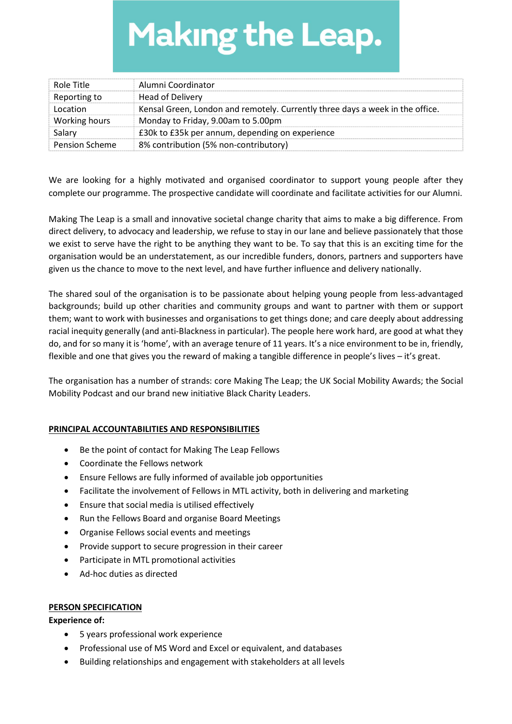# **Making the Leap.**

| Role Title            | Alumni Coordinator                                                            |
|-----------------------|-------------------------------------------------------------------------------|
| Reporting to          | Head of Delivery                                                              |
| Location              | Kensal Green, London and remotely. Currently three days a week in the office. |
| Working hours         | Monday to Friday, 9.00am to 5.00pm                                            |
| Salary                | £30k to £35k per annum, depending on experience                               |
| <b>Pension Scheme</b> | 8% contribution (5% non-contributory)                                         |

We are looking for a highly motivated and organised coordinator to support young people after they complete our programme. The prospective candidate will coordinate and facilitate activities for our Alumni.

Making The Leap is a small and innovative societal change charity that aims to make a big difference. From direct delivery, to advocacy and leadership, we refuse to stay in our lane and believe passionately that those we exist to serve have the right to be anything they want to be. To say that this is an exciting time for the organisation would be an understatement, as our incredible funders, donors, partners and supporters have given us the chance to move to the next level, and have further influence and delivery nationally.

The shared soul of the organisation is to be passionate about helping young people from less-advantaged backgrounds; build up other charities and community groups and want to partner with them or support them; want to work with businesses and organisations to get things done; and care deeply about addressing racial inequity generally (and anti-Blackness in particular). The people here work hard, are good at what they do, and for so many it is 'home', with an average tenure of 11 years. It's a nice environment to be in, friendly, flexible and one that gives you the reward of making a tangible difference in people's lives – it's great.

The organisation has a number of strands: core Making The Leap; the UK Social Mobility Awards; the Social Mobility Podcast and our brand new initiative Black Charity Leaders.

## PRINCIPAL ACCOUNTABILITIES AND RESPONSIBILITIES

- Be the point of contact for Making The Leap Fellows
- Coordinate the Fellows network
- Ensure Fellows are fully informed of available job opportunities
- Facilitate the involvement of Fellows in MTL activity, both in delivering and marketing
- Ensure that social media is utilised effectively
- Run the Fellows Board and organise Board Meetings
- Organise Fellows social events and meetings
- Provide support to secure progression in their career
- Participate in MTL promotional activities
- Ad-hoc duties as directed

## PERSON SPECIFICATION

#### Experience of:

- 5 years professional work experience
- Professional use of MS Word and Excel or equivalent, and databases
- Building relationships and engagement with stakeholders at all levels